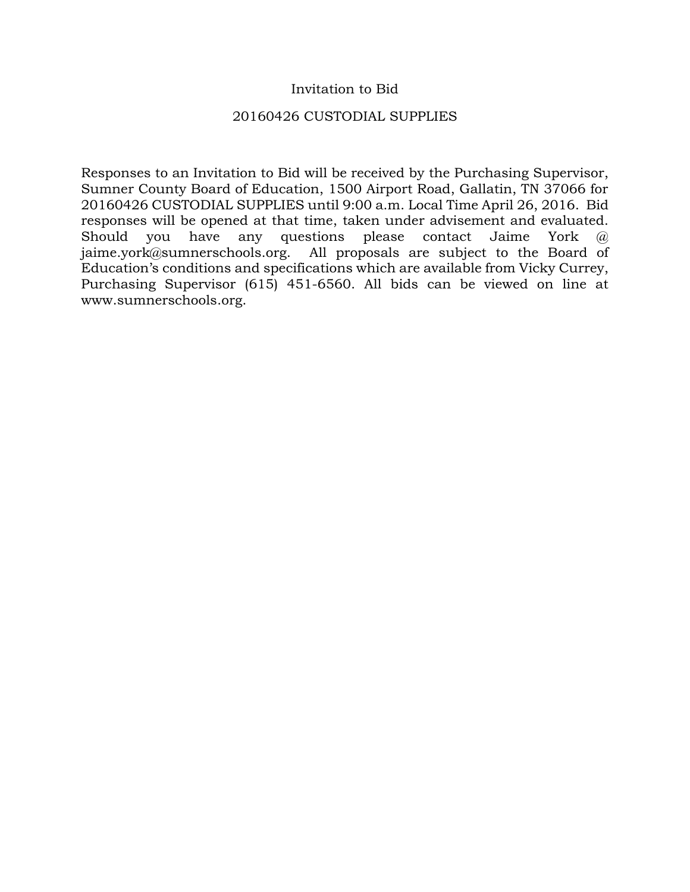## Invitation to Bid

#### 20160426 CUSTODIAL SUPPLIES

Responses to an Invitation to Bid will be received by the Purchasing Supervisor, Sumner County Board of Education, 1500 Airport Road, Gallatin, TN 37066 for 20160426 CUSTODIAL SUPPLIES until 9:00 a.m. Local Time April 26, 2016. Bid responses will be opened at that time, taken under advisement and evaluated. Should you have any questions please contact Jaime York @ jaime.york@sumnerschools.org. All proposals are subject to the Board of Education's conditions and specifications which are available from Vicky Currey, Purchasing Supervisor (615) 451-6560. All bids can be viewed on line at www.sumnerschools.org.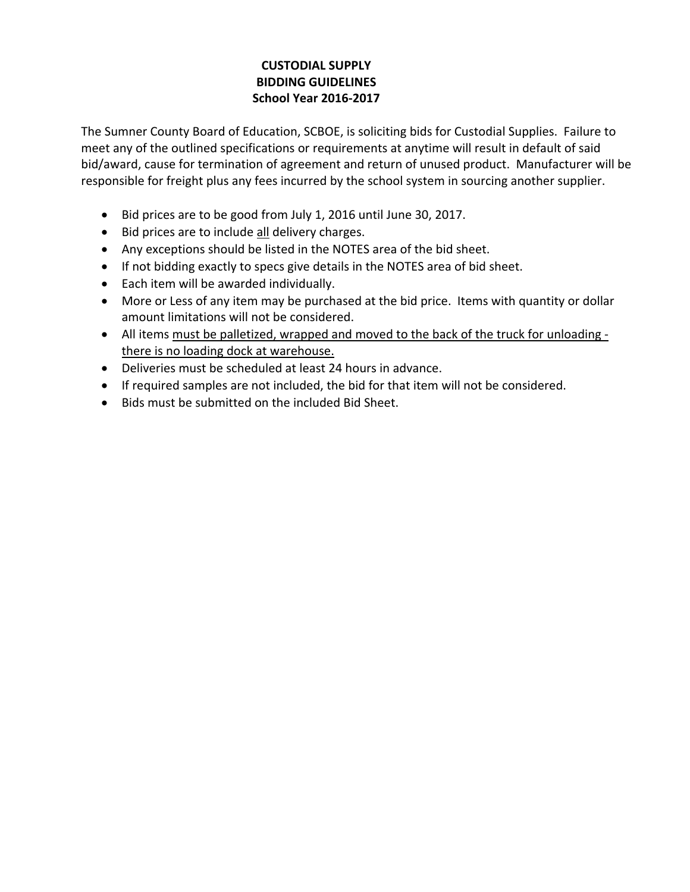# **CUSTODIAL SUPPLY BIDDING GUIDELINES School Year 2016‐2017**

The Sumner County Board of Education, SCBOE, is soliciting bids for Custodial Supplies. Failure to meet any of the outlined specifications or requirements at anytime will result in default of said bid/award, cause for termination of agreement and return of unused product. Manufacturer will be responsible for freight plus any fees incurred by the school system in sourcing another supplier.

- Bid prices are to be good from July 1, 2016 until June 30, 2017.
- Bid prices are to include all delivery charges.
- Any exceptions should be listed in the NOTES area of the bid sheet.
- If not bidding exactly to specs give details in the NOTES area of bid sheet.
- Each item will be awarded individually.
- More or Less of any item may be purchased at the bid price. Items with quantity or dollar amount limitations will not be considered.
- All items must be palletized, wrapped and moved to the back of the truck for unloading there is no loading dock at warehouse.
- Deliveries must be scheduled at least 24 hours in advance.
- If required samples are not included, the bid for that item will not be considered.
- Bids must be submitted on the included Bid Sheet.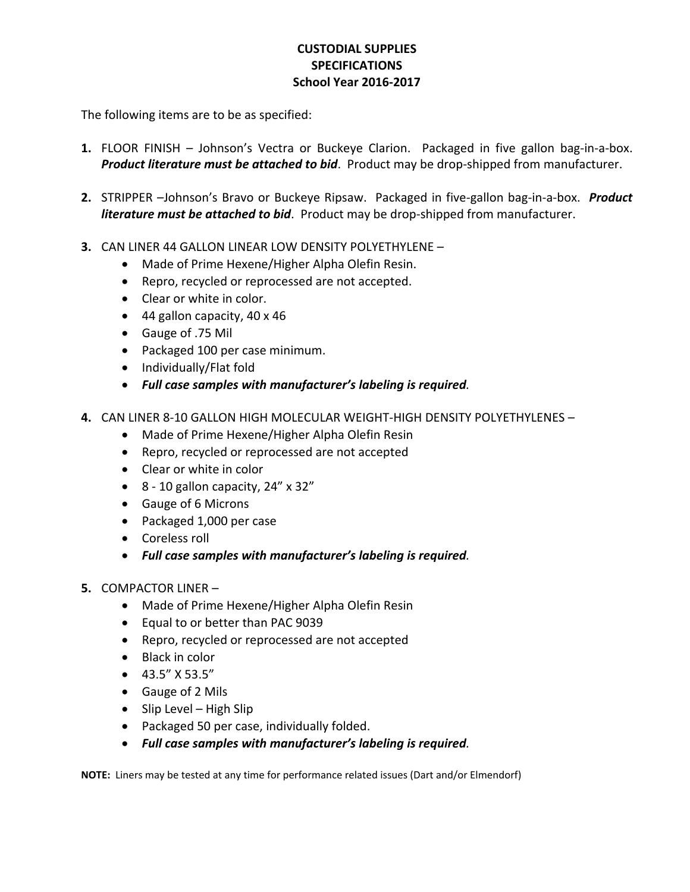## **CUSTODIAL SUPPLIES SPECIFICATIONS School Year 2016‐2017**

The following items are to be as specified:

- 1. FLOOR FINISH Johnson's Vectra or Buckeye Clarion. Packaged in five gallon bag-in-a-box. *Product literature must be attached to bid*. Product may be drop‐shipped from manufacturer.
- **2.** STRIPPER –Johnson's Bravo or Buckeye Ripsaw. Packaged in five‐gallon bag‐in‐a‐box. *Product literature must be attached to bid*. Product may be drop‐shipped from manufacturer.
- **3.** CAN LINER 44 GALLON LINEAR LOW DENSITY POLYETHYLENE
	- Made of Prime Hexene/Higher Alpha Olefin Resin.
	- Repro, recycled or reprocessed are not accepted.
	- Clear or white in color.
	- 44 gallon capacity, 40 x 46
	- Gauge of .75 Mil
	- Packaged 100 per case minimum.
	- Individually/Flat fold
	- *Full case samples with manufacturer's labeling is required.*
- **4.** CAN LINER 8‐10 GALLON HIGH MOLECULAR WEIGHT‐HIGH DENSITY POLYETHYLENES
	- Made of Prime Hexene/Higher Alpha Olefin Resin
	- Repro, recycled or reprocessed are not accepted
	- Clear or white in color
	- $\bullet$  8 10 gallon capacity, 24" x 32"
	- Gauge of 6 Microns
	- Packaged 1,000 per case
	- Coreless roll
	- *Full case samples with manufacturer's labeling is required.*
- **5.** COMPACTOR LINER
	- Made of Prime Hexene/Higher Alpha Olefin Resin
	- Equal to or better than PAC 9039
	- Repro, recycled or reprocessed are not accepted
	- Black in color
	- $-43.5''$  X 53.5"
	- Gauge of 2 Mils
	- $\bullet$  Slip Level High Slip
	- Packaged 50 per case, individually folded.
	- *Full case samples with manufacturer's labeling is required.*

**NOTE:** Liners may be tested at any time for performance related issues (Dart and/or Elmendorf)